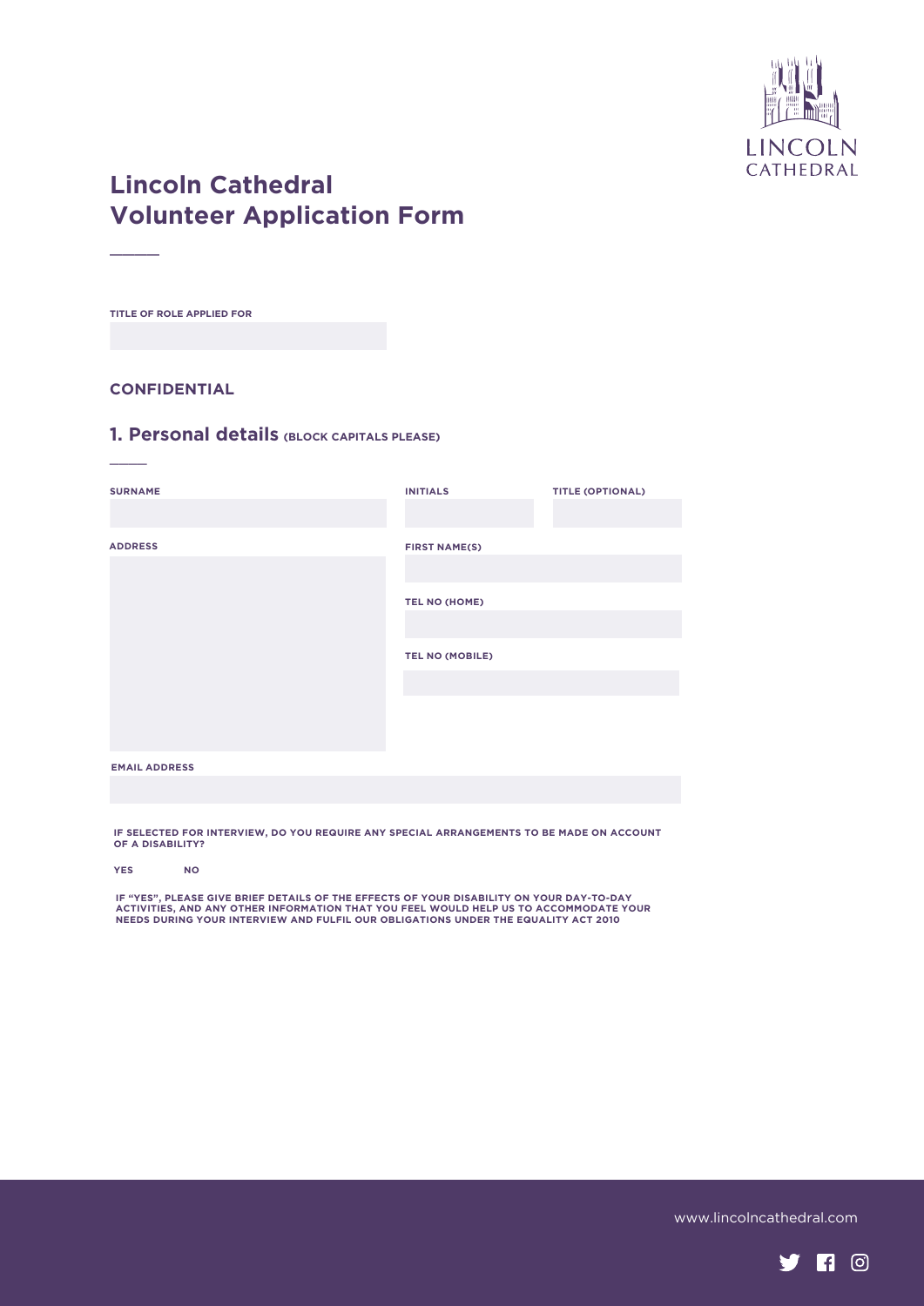

# **Lincoln Cathedral Volunteer Application Form**

**TITLE OF ROLE APPLIED FOR**

 $\overline{\phantom{a}}$ 

 $\overline{\phantom{a}}$ 

#### **CONFIDENTIAL**

### **1. Personal details (BLOCK CAPITALS PLEASE)**

| <b>SURNAME</b>       | <b>INITIALS</b>        | <b>TITLE (OPTIONAL)</b> |
|----------------------|------------------------|-------------------------|
| <b>ADDRESS</b>       | <b>FIRST NAME(S)</b>   |                         |
|                      | TEL NO (HOME)          |                         |
|                      | <b>TEL NO (MOBILE)</b> |                         |
|                      |                        |                         |
| <b>EMAIL ADDRESS</b> |                        |                         |

**IF SELECTED FOR INTERVIEW, DO YOU REQUIRE ANY SPECIAL ARRANGEMENTS TO BE MADE ON ACCOUNT OF A DISABILITY?** 

**YES NO**

**IF "YES", PLEASE GIVE BRIEF DETAILS OF THE EFFECTS OF YOUR DISABILITY ON YOUR DAY-TO-DAY ACTIVITIES, AND ANY OTHER INFORMATION THAT YOU FEEL WOULD HELP US TO ACCOMMODATE YOUR NEEDS DURING YOUR INTERVIEW AND FULFIL OUR OBLIGATIONS UNDER THE EQUALITY ACT 2010**

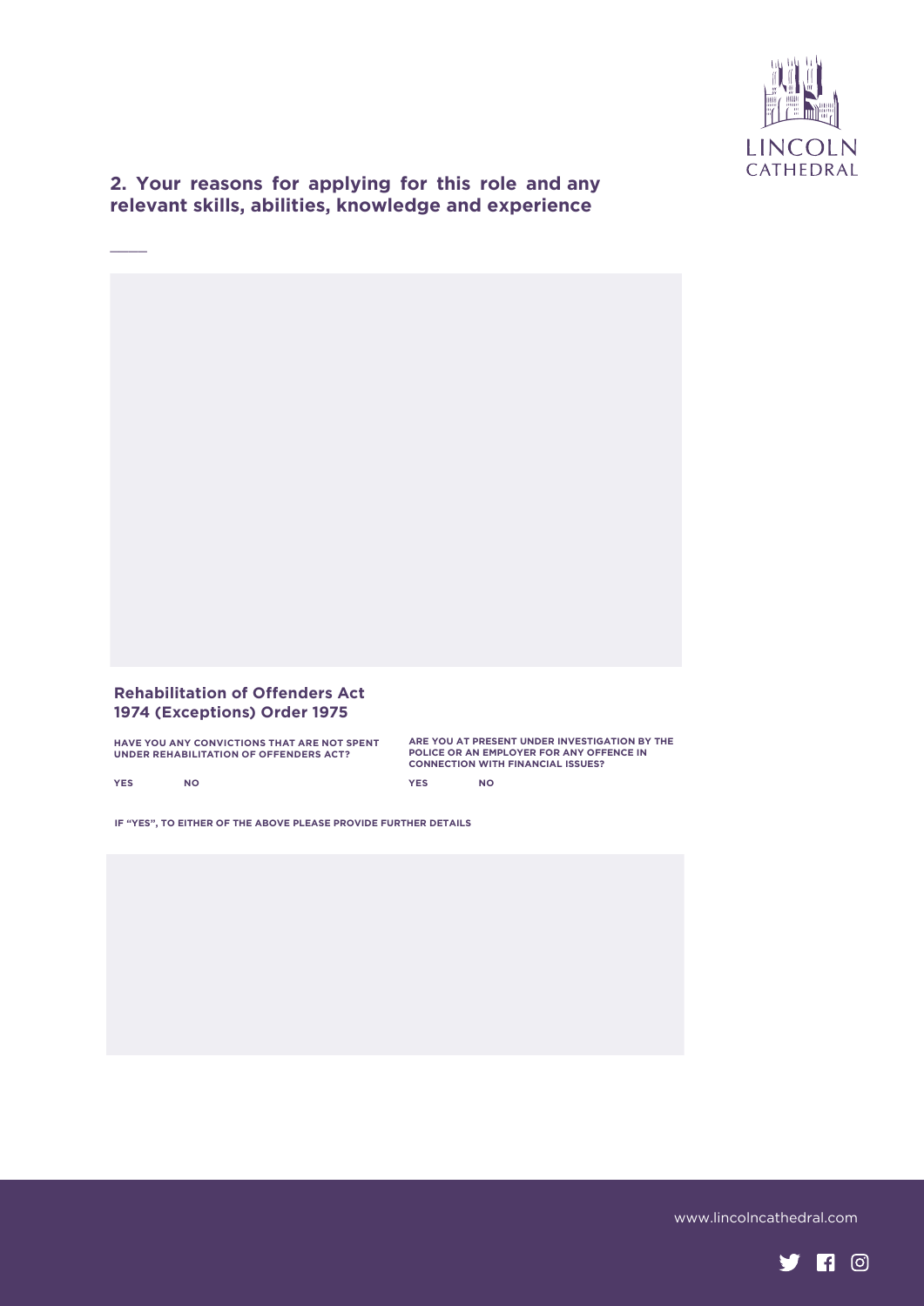

**2. Your reasons for applying for this role and any relevant skills, abilities, knowledge and experience**

#### **Rehabilitation of Offenders Act 1974 (Exceptions) Order 1975**

**HAVE YOU ANY CONVICTIONS THAT ARE NOT SPENT UNDER REHABILITATION OF OFFENDERS ACT?** 

**ARE YOU AT PRESENT UNDER INVESTIGATION BY THE POLICE OR AN EMPLOYER FOR ANY OFFENCE IN CONNECTION WITH FINANCIAL ISSUES? YES NO**

**YES NO**

 $\overline{\phantom{a}}$ 

**IF "YES", TO EITHER OF THE ABOVE PLEASE PROVIDE FURTHER DETAILS** 

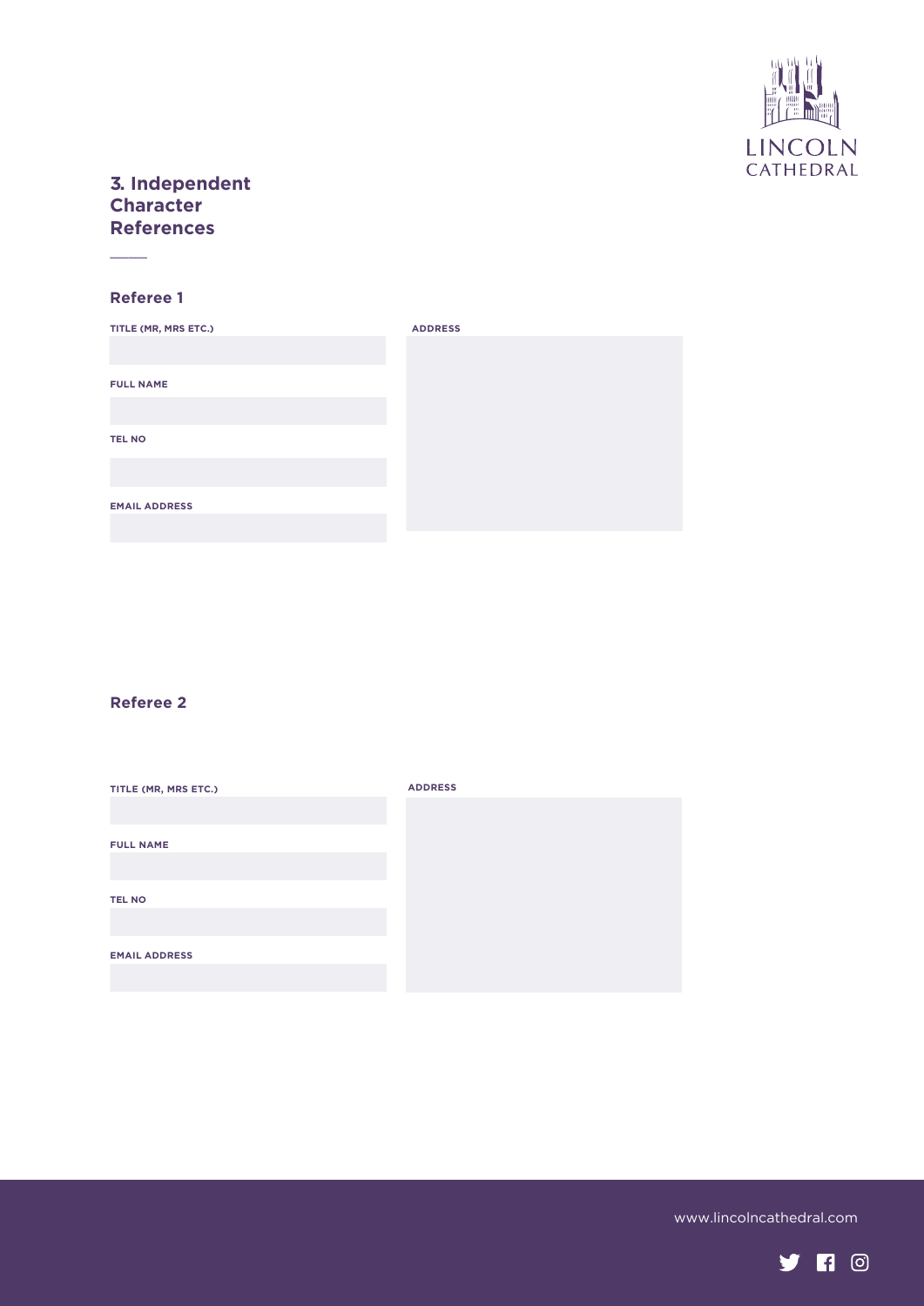

## **3. Independent Character References**

### **Referee 1**

 $\overline{\phantom{a}}$ 

| TITLE (MR, MRS ETC.) | <b>ADDRESS</b> |
|----------------------|----------------|
|                      |                |
| <b>FULL NAME</b>     |                |
|                      |                |
|                      |                |
| <b>TEL NO</b>        |                |
|                      |                |
| <b>EMAIL ADDRESS</b> |                |
|                      |                |

### **Referee 2**

| TITLE (MR, MRS ETC.) | <b>ADDRESS</b> |
|----------------------|----------------|
|                      |                |
| <b>FULL NAME</b>     |                |
|                      |                |
| <b>TEL NO</b>        |                |
|                      |                |
| <b>EMAIL ADDRESS</b> |                |
|                      |                |